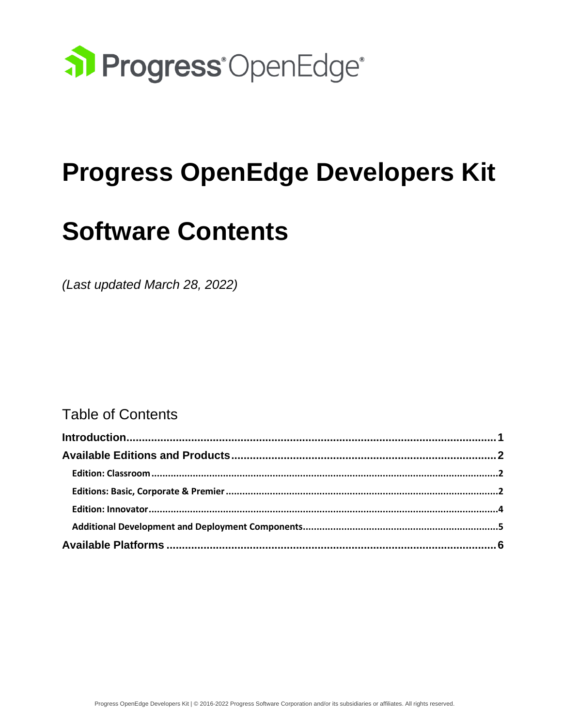

# **Progress OpenEdge Developers Kit**

# **Software Contents**

*(Last updated March 28, 2022)*

### Table of Contents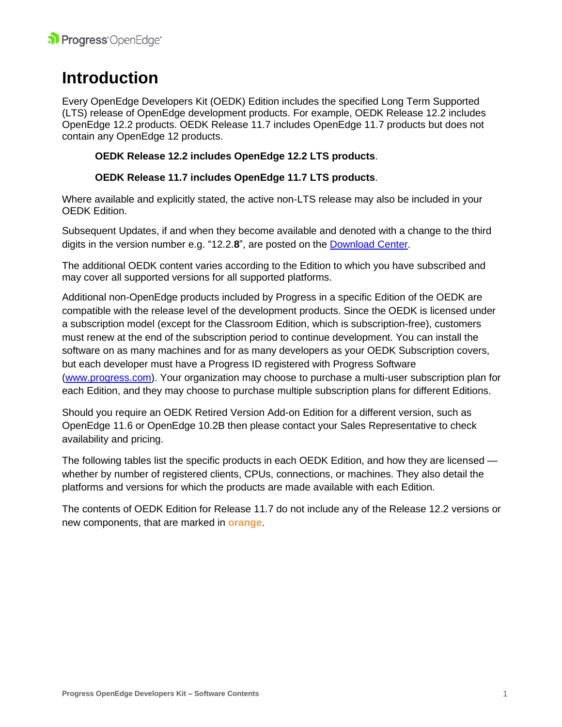## <span id="page-1-0"></span>**Introduction**

Every OpenEdge Developers Kit (OEDK) Edition includes the specified Long Term Supported (LTS) release of OpenEdge development products. For example, OEDK Release 12.2 includes OpenEdge 12.2 products. OEDK Release 11.7 includes OpenEdge 11.7 products but does not contain any OpenEdge 12 products.

#### **OEDK Release 12.2 includes OpenEdge 12.2 LTS products**.

#### **OEDK Release 11.7 includes OpenEdge 11.7 LTS products**.

Where available and explicitly stated, the active non-LTS release may also be included in your OEDK Edition.

Subsequent Updates, if and when they become available and denoted with a change to the third digits in the version number e.g. "12.2.**8**", are posted on the [Download](https://www.progress.com/support/evaluation/download-resources/download-center) Center.

The additional OEDK content varies according to the Edition to which you have subscribed and may cover all supported versions for all supported platforms.

Additional non-OpenEdge products included by Progress in a specific Edition of the OEDK are compatible with the release level of the development products. Since the OEDK is licensed under a subscription model (except for the Classroom Edition, which is subscription-free), customers must renew at the end of the subscription period to continue development. You can install the software on as many machines and for as many developers as your OEDK Subscription covers, but each developer must have a Progress ID registered with Progress Software [\(www.progress.com\)](http://www.progress.com/). Your organization may choose to purchase a multi-user subscription plan for each Edition, and they may choose to purchase multiple subscription plans for different Editions.

Should you require an OEDK Retired Version Add-on Edition for a different version, such as OpenEdge 11.6 or OpenEdge 10.2B then please contact your Sales Representative to check availability and pricing.

The following tables list the specific products in each OEDK Edition, and how they are licensed whether by number of registered clients, CPUs, connections, or machines. They also detail the platforms and versions for which the products are made available with each Edition.

The contents of OEDK Edition for Release 11.7 do not include any of the Release 12.2 versions or new components, that are marked in **orange**.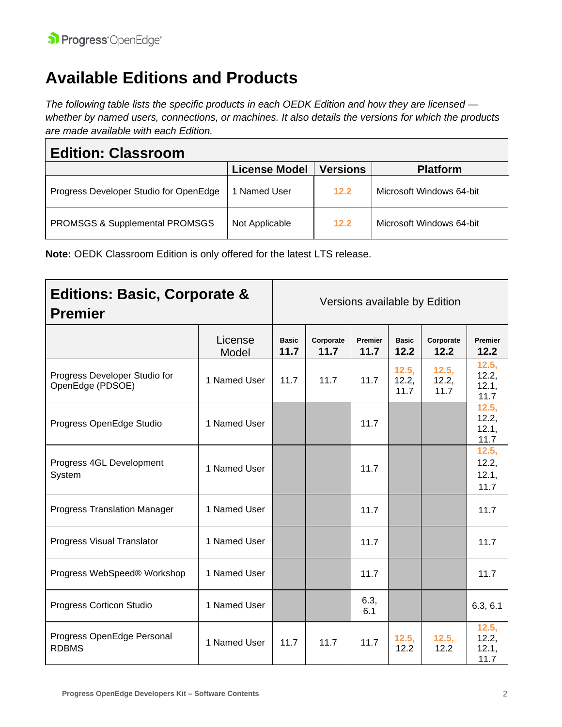## <span id="page-2-0"></span>**Available Editions and Products**

*The following table lists the specific products in each OEDK Edition and how they are licensed whether by named users, connections, or machines. It also details the versions for which the products are made available with each Edition.*

<span id="page-2-1"></span>

| <b>Edition: Classroom</b>                 |                      |                 |                          |
|-------------------------------------------|----------------------|-----------------|--------------------------|
|                                           | <b>License Model</b> | <b>Versions</b> | <b>Platform</b>          |
| Progress Developer Studio for OpenEdge    | 1 Named User         | 12.2            | Microsoft Windows 64-bit |
| <b>PROMSGS &amp; Supplemental PROMSGS</b> | Not Applicable       | 12.2            | Microsoft Windows 64-bit |

**Note:** OEDK Classroom Edition is only offered for the latest LTS release.

<span id="page-2-2"></span>

| <b>Editions: Basic, Corporate &amp;</b><br><b>Premier</b> |                  | Versions available by Edition |                   |                 |                        |                        |                                 |
|-----------------------------------------------------------|------------------|-------------------------------|-------------------|-----------------|------------------------|------------------------|---------------------------------|
|                                                           | License<br>Model | <b>Basic</b><br>11.7          | Corporate<br>11.7 | Premier<br>11.7 | <b>Basic</b><br>12.2   | Corporate<br>12.2      | Premier<br>12.2                 |
| Progress Developer Studio for<br>OpenEdge (PDSOE)         | 1 Named User     | 11.7                          | 11.7              | 11.7            | 12.5,<br>12.2,<br>11.7 | 12.5,<br>12.2,<br>11.7 | 12.5,<br>12.2,<br>12.1,<br>11.7 |
| Progress OpenEdge Studio                                  | 1 Named User     |                               |                   | 11.7            |                        |                        | 12.5,<br>12.2,<br>12.1,<br>11.7 |
| Progress 4GL Development<br>System                        | 1 Named User     |                               |                   | 11.7            |                        |                        | 12.5,<br>12.2,<br>12.1,<br>11.7 |
| <b>Progress Translation Manager</b>                       | 1 Named User     |                               |                   | 11.7            |                        |                        | 11.7                            |
| Progress Visual Translator                                | 1 Named User     |                               |                   | 11.7            |                        |                        | 11.7                            |
| Progress WebSpeed® Workshop                               | 1 Named User     |                               |                   | 11.7            |                        |                        | 11.7                            |
| Progress Corticon Studio                                  | 1 Named User     |                               |                   | 6.3,<br>6.1     |                        |                        | 6.3, 6.1                        |
| Progress OpenEdge Personal<br><b>RDBMS</b>                | 1 Named User     | 11.7                          | 11.7              | 11.7            | 12.5,<br>12.2          | 12.5,<br>12.2          | 12.5,<br>12.2,<br>12.1,<br>11.7 |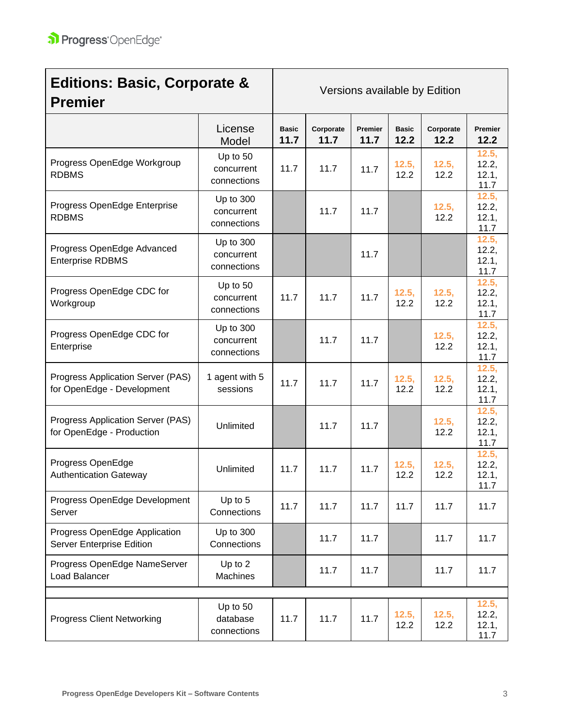| <b>Editions: Basic, Corporate &amp;</b><br><b>Premier</b>       |                                        | Versions available by Edition |                   |                 |                      |                   |                                 |
|-----------------------------------------------------------------|----------------------------------------|-------------------------------|-------------------|-----------------|----------------------|-------------------|---------------------------------|
|                                                                 | License<br>Model                       | <b>Basic</b><br>11.7          | Corporate<br>11.7 | Premier<br>11.7 | <b>Basic</b><br>12.2 | Corporate<br>12.2 | Premier<br>12.2                 |
| Progress OpenEdge Workgroup<br><b>RDBMS</b>                     | Up to 50<br>concurrent<br>connections  | 11.7                          | 11.7              | 11.7            | 12.5,<br>12.2        | 12.5,<br>12.2     | 12.5,<br>12.2,<br>12.1,<br>11.7 |
| Progress OpenEdge Enterprise<br><b>RDBMS</b>                    | Up to 300<br>concurrent<br>connections |                               | 11.7              | 11.7            |                      | 12.5,<br>12.2     | 12.5,<br>12.2,<br>12.1,<br>11.7 |
| Progress OpenEdge Advanced<br><b>Enterprise RDBMS</b>           | Up to 300<br>concurrent<br>connections |                               |                   | 11.7            |                      |                   | 12.5,<br>12.2,<br>12.1,<br>11.7 |
| Progress OpenEdge CDC for<br>Workgroup                          | Up to 50<br>concurrent<br>connections  | 11.7                          | 11.7              | 11.7            | 12.5,<br>12.2        | 12.5,<br>12.2     | 12.5,<br>12.2,<br>12.1,<br>11.7 |
| Progress OpenEdge CDC for<br>Enterprise                         | Up to 300<br>concurrent<br>connections |                               | 11.7              | 11.7            |                      | 12.5,<br>12.2     | 12.5,<br>12.2,<br>12.1,<br>11.7 |
| Progress Application Server (PAS)<br>for OpenEdge - Development | 1 agent with 5<br>sessions             | 11.7                          | 11.7              | 11.7            | 12.5,<br>12.2        | 12.5,<br>12.2     | 12.5,<br>12.2,<br>12.1,<br>11.7 |
| Progress Application Server (PAS)<br>for OpenEdge - Production  | Unlimited                              |                               | 11.7              | 11.7            |                      | 12.5,<br>12.2     | 12.5,<br>12.2,<br>12.1,<br>11.7 |
| Progress OpenEdge<br><b>Authentication Gateway</b>              | Unlimited                              | 11.7                          | 11.7              | 11.7            | 12.5,<br>12.2        | 12.5,<br>12.2     | 12.5,<br>12.2,<br>12.1,<br>11.7 |
| Progress OpenEdge Development<br>Server                         | Up to 5<br>Connections                 | 11.7                          | 11.7              | 11.7            | 11.7                 | 11.7              | 11.7                            |
| Progress OpenEdge Application<br>Server Enterprise Edition      | Up to 300<br>Connections               |                               | 11.7              | 11.7            |                      | 11.7              | 11.7                            |
| Progress OpenEdge NameServer<br>Load Balancer                   | Up to 2<br>Machines                    |                               | 11.7              | 11.7            |                      | 11.7              | 11.7                            |
| <b>Progress Client Networking</b>                               | Up to 50<br>database<br>connections    | 11.7                          | 11.7              | 11.7            | 12.5,<br>12.2        | 12.5,<br>12.2     | 12.5,<br>12.2,<br>12.1,<br>11.7 |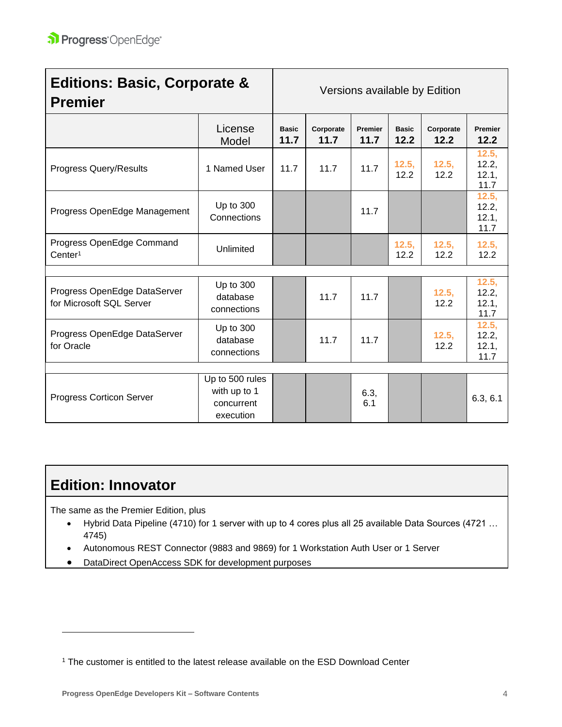| <b>Premier</b>                                           | <b>Editions: Basic, Corporate &amp;</b>                    |                      | Versions available by Edition |                 |                      |                   |                                 |  |
|----------------------------------------------------------|------------------------------------------------------------|----------------------|-------------------------------|-----------------|----------------------|-------------------|---------------------------------|--|
|                                                          | License<br>Model                                           | <b>Basic</b><br>11.7 | Corporate<br>11.7             | Premier<br>11.7 | <b>Basic</b><br>12.2 | Corporate<br>12.2 | Premier<br>12.2                 |  |
| <b>Progress Query/Results</b>                            | 1 Named User                                               | 11.7                 | 11.7                          | 11.7            | 12.5,<br>12.2        | 12.5,<br>12.2     | 12.5,<br>12.2,<br>12.1,<br>11.7 |  |
| Progress OpenEdge Management                             | Up to 300<br>Connections                                   |                      |                               | 11.7            |                      |                   | 12.5,<br>12.2,<br>12.1,<br>11.7 |  |
| Progress OpenEdge Command<br>Center <sup>1</sup>         | Unlimited                                                  |                      |                               |                 | 12.5,<br>12.2        | 12.5,<br>12.2     | 12.5,<br>12.2                   |  |
|                                                          |                                                            |                      |                               |                 |                      |                   |                                 |  |
| Progress OpenEdge DataServer<br>for Microsoft SQL Server | Up to 300<br>database<br>connections                       |                      | 11.7                          | 11.7            |                      | 12.5,<br>12.2     | 12.5,<br>12.2,<br>12.1,<br>11.7 |  |
| Progress OpenEdge DataServer<br>for Oracle               | Up to 300<br>database<br>connections                       |                      | 11.7                          | 11.7            |                      | 12.5,<br>12.2     | 12.5,<br>12.2,<br>12.1,<br>11.7 |  |
|                                                          |                                                            |                      |                               |                 |                      |                   |                                 |  |
| <b>Progress Corticon Server</b>                          | Up to 500 rules<br>with up to 1<br>concurrent<br>execution |                      |                               | 6.3,<br>6.1     |                      |                   | 6.3, 6.1                        |  |

### <span id="page-4-0"></span>**Edition: Innovator**

The same as the Premier Edition, plus

- Hybrid Data Pipeline (4710) for 1 server with up to 4 cores plus all 25 available Data Sources (4721 … 4745)
- Autonomous REST Connector (9883 and 9869) for 1 Workstation Auth User or 1 Server
- DataDirect OpenAccess SDK for development purposes

<sup>&</sup>lt;sup>1</sup> The customer is entitled to the latest release available on the ESD Download Center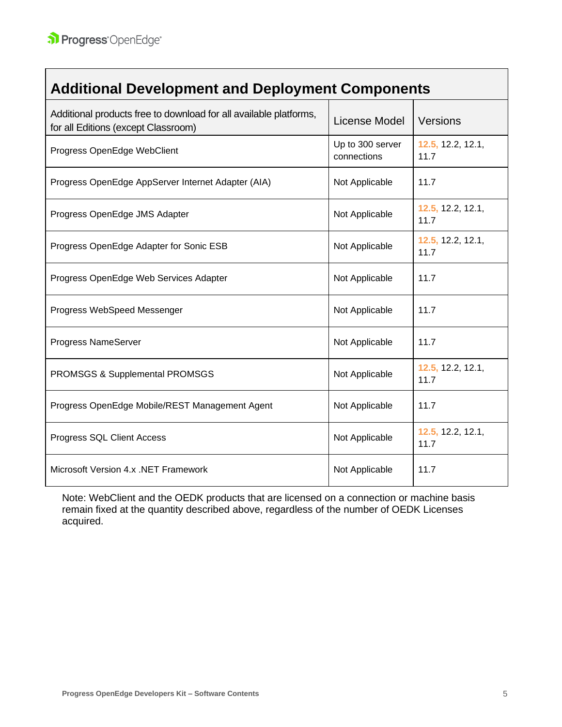<span id="page-5-0"></span> $\Box$ 

| <b>Additional Development and Deployment Components</b>                                                  |                                 |                           |
|----------------------------------------------------------------------------------------------------------|---------------------------------|---------------------------|
| Additional products free to download for all available platforms,<br>for all Editions (except Classroom) | License Model                   | Versions                  |
| Progress OpenEdge WebClient                                                                              | Up to 300 server<br>connections | 12.5, 12.2, 12.1,<br>11.7 |
| Progress OpenEdge AppServer Internet Adapter (AIA)                                                       | Not Applicable                  | 11.7                      |
| Progress OpenEdge JMS Adapter                                                                            | Not Applicable                  | 12.5, 12.2, 12.1,<br>11.7 |
| Progress OpenEdge Adapter for Sonic ESB                                                                  | Not Applicable                  | 12.5, 12.2, 12.1,<br>11.7 |
| Progress OpenEdge Web Services Adapter                                                                   | Not Applicable                  | 11.7                      |
| Progress WebSpeed Messenger                                                                              | Not Applicable                  | 11.7                      |
| Progress NameServer                                                                                      | Not Applicable                  | 11.7                      |
| PROMSGS & Supplemental PROMSGS                                                                           | Not Applicable                  | 12.5, 12.2, 12.1,<br>11.7 |
| Progress OpenEdge Mobile/REST Management Agent                                                           | Not Applicable                  | 11.7                      |
| Progress SQL Client Access                                                                               | Not Applicable                  | 12.5, 12.2, 12.1,<br>11.7 |
| Microsoft Version 4.x .NET Framework                                                                     | Not Applicable                  | 11.7                      |

Note: WebClient and the OEDK products that are licensed on a connection or machine basis remain fixed at the quantity described above, regardless of the number of OEDK Licenses acquired.

٦